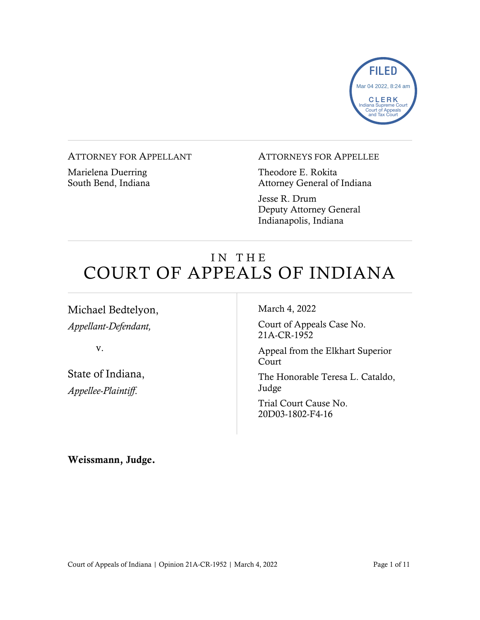

#### ATTORNEY FOR APPELLANT

Marielena Duerring South Bend, Indiana

#### ATTORNEYS FOR APPELLEE

Theodore E. Rokita Attorney General of Indiana

Jesse R. Drum Deputy Attorney General Indianapolis, Indiana

# IN THE COURT OF APPEALS OF INDIANA

Michael Bedtelyon, *Appellant-Defendant,*

v.

State of Indiana, *Appellee-Plaintiff*.

March 4, 2022

Court of Appeals Case No. 21A-CR-1952

Appeal from the Elkhart Superior Court

The Honorable Teresa L. Cataldo, Judge

Trial Court Cause No. 20D03-1802-F4-16

Weissmann, Judge.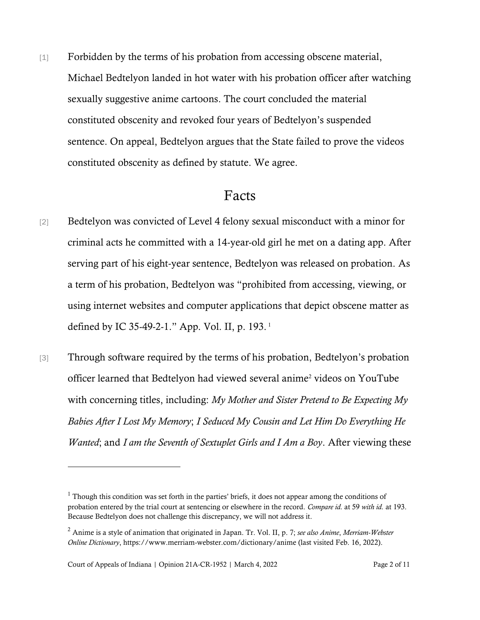[1] Forbidden by the terms of his probation from accessing obscene material, Michael Bedtelyon landed in hot water with his probation officer after watching sexually suggestive anime cartoons. The court concluded the material constituted obscenity and revoked four years of Bedtelyon's suspended sentence. On appeal, Bedtelyon argues that the State failed to prove the videos constituted obscenity as defined by statute. We agree.

### Facts

- [2] Bedtelyon was convicted of Level 4 felony sexual misconduct with a minor for criminal acts he committed with a 14-year-old girl he met on a dating app. After serving part of his eight-year sentence, Bedtelyon was released on probation. As a term of his probation, Bedtelyon was "prohibited from accessing, viewing, or using internet websites and computer applications that depict obscene matter as defined by IC 35-49-2-1." App. Vol. II, p. 193. <sup>1</sup>
- [3] Through software required by the terms of his probation, Bedtelyon's probation officer learned that Bedtelyon had viewed several anime<sup>2</sup> videos on YouTube with concerning titles, including: *My Mother and Sister Pretend to Be Expecting My Babies After I Lost My Memory*; *I Seduced My Cousin and Let Him Do Everything He Wanted*; and *I am the Seventh of Sextuplet Girls and I Am a Boy*. After viewing these

 $<sup>1</sup>$  Though this condition was set forth in the parties' briefs, it does not appear among the conditions of</sup> probation entered by the trial court at sentencing or elsewhere in the record. *Compare id.* at 59 *with id.* at 193. Because Bedtelyon does not challenge this discrepancy, we will not address it.

<sup>2</sup> Anime is a style of animation that originated in Japan. Tr. Vol. II, p. 7; *see also Anime*, *Merriam-Webster Online Dictionary*, https://www.merriam-webster.com/dictionary/anime (last visited Feb. 16, 2022).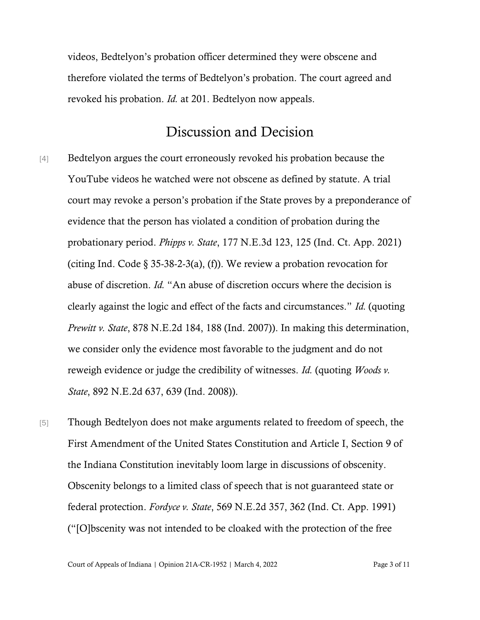videos, Bedtelyon's probation officer determined they were obscene and therefore violated the terms of Bedtelyon's probation. The court agreed and revoked his probation. *Id.* at 201. Bedtelyon now appeals.

## Discussion and Decision

- [4] Bedtelyon argues the court erroneously revoked his probation because the YouTube videos he watched were not obscene as defined by statute. A trial court may revoke a person's probation if the State proves by a preponderance of evidence that the person has violated a condition of probation during the probationary period. *Phipps v. State*, 177 N.E.3d 123, 125 (Ind. Ct. App. 2021) (citing Ind. Code  $\S 35-38-2-3(a)$ , (f)). We review a probation revocation for abuse of discretion. *Id.* "An abuse of discretion occurs where the decision is clearly against the logic and effect of the facts and circumstances." *Id.* (quoting *Prewitt v. State*, 878 N.E.2d 184, 188 (Ind. 2007)). In making this determination, we consider only the evidence most favorable to the judgment and do not reweigh evidence or judge the credibility of witnesses. *Id.* (quoting *Woods v. State*, 892 N.E.2d 637, 639 (Ind. 2008)).
- [5] Though Bedtelyon does not make arguments related to freedom of speech, the First Amendment of the United States Constitution and Article I, Section 9 of the Indiana Constitution inevitably loom large in discussions of obscenity. Obscenity belongs to a limited class of speech that is not guaranteed state or federal protection. *Fordyce v. State*, 569 N.E.2d 357, 362 (Ind. Ct. App. 1991) ("[O]bscenity was not intended to be cloaked with the protection of the free

Court of Appeals of Indiana | Opinion 21A-CR-1952 | March 4, 2022 Page 3 of 11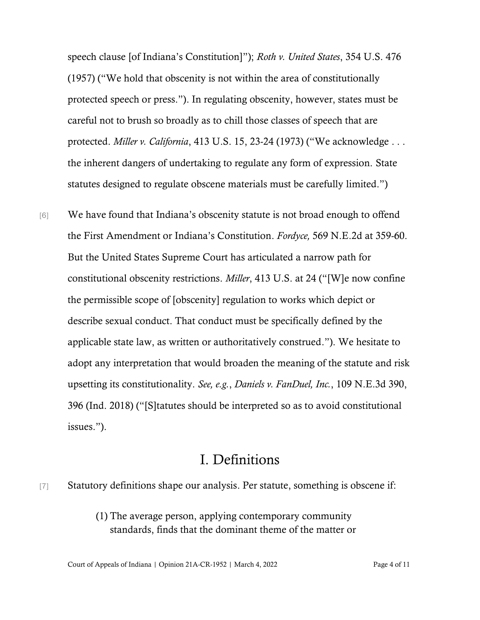speech clause [of Indiana's Constitution]"); *Roth v. United States*, 354 U.S. 476 (1957) ("We hold that obscenity is not within the area of constitutionally protected speech or press."). In regulating obscenity, however, states must be careful not to brush so broadly as to chill those classes of speech that are protected. *Miller v. California*, 413 U.S. 15, 23-24 (1973) ("We acknowledge . . . the inherent dangers of undertaking to regulate any form of expression. State statutes designed to regulate obscene materials must be carefully limited.")

[6] We have found that Indiana's obscenity statute is not broad enough to offend the First Amendment or Indiana's Constitution. *Fordyce,* 569 N.E.2d at 359-60. But the United States Supreme Court has articulated a narrow path for constitutional obscenity restrictions. *Miller*, 413 U.S. at 24 ("[W]e now confine the permissible scope of [obscenity] regulation to works which depict or describe sexual conduct. That conduct must be specifically defined by the applicable state law, as written or authoritatively construed."). We hesitate to adopt any interpretation that would broaden the meaning of the statute and risk upsetting its constitutionality. *See, e.g.*, *Daniels v. FanDuel, Inc.*, 109 N.E.3d 390, 396 (Ind. 2018) ("[S]tatutes should be interpreted so as to avoid constitutional issues.").

### I. Definitions

[7] Statutory definitions shape our analysis. Per statute, something is obscene if:

(1) The average person, applying contemporary community standards, finds that the dominant theme of the matter or

Court of Appeals of Indiana | Opinion 21A-CR-1952 | March 4, 2022 Page 4 of 11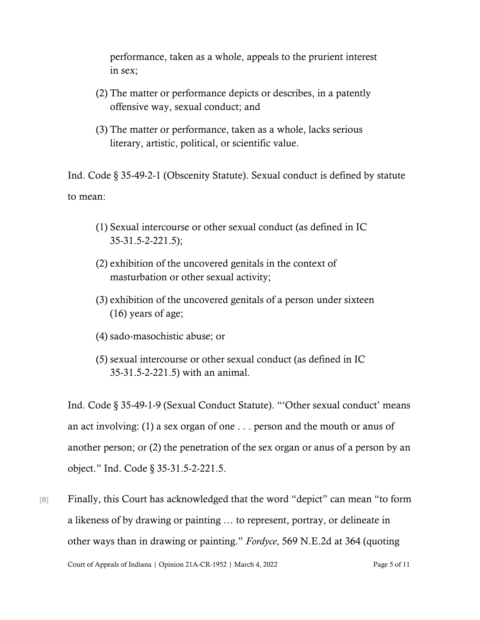performance, taken as a whole, appeals to the prurient interest in sex;

- (2) The matter or performance depicts or describes, in a patently offensive way, sexual conduct; and
- (3) The matter or performance, taken as a whole, lacks serious literary, artistic, political, or scientific value.

Ind. Code § 35-49-2-1 (Obscenity Statute). Sexual conduct is defined by statute to mean:

- (1) Sexual intercourse or other sexual conduct (as defined in IC 35-31.5-2-221.5);
- (2) exhibition of the uncovered genitals in the context of masturbation or other sexual activity;
- (3) exhibition of the uncovered genitals of a person under sixteen (16) years of age;
- (4) sado-masochistic abuse; or
- (5) sexual intercourse or other sexual conduct (as defined in IC 35-31.5-2-221.5) with an animal.

Ind. Code § 35-49-1-9 (Sexual Conduct Statute). "'Other sexual conduct' means an act involving: (1) a sex organ of one . . . person and the mouth or anus of another person; or (2) the penetration of the sex organ or anus of a person by an object." Ind. Code § 35-31.5-2-221.5.

[8] Finally, this Court has acknowledged that the word "depict" can mean "to form a likeness of by drawing or painting … to represent, portray, or delineate in other ways than in drawing or painting." *Fordyce*, 569 N.E.2d at 364 (quoting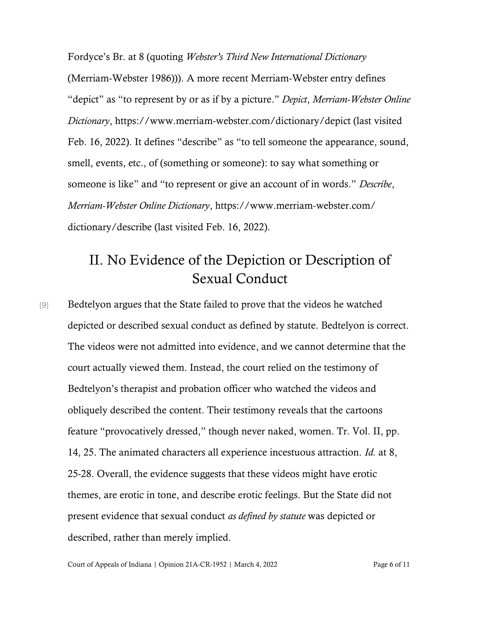Fordyce's Br. at 8 (quoting *Webster's Third New International Dictionary* (Merriam-Webster 1986))). A more recent Merriam-Webster entry defines "depict" as "to represent by or as if by a picture." *Depict*, *Merriam-Webster Online Dictionary*, https://www.merriam-webster.com/dictionary/depict (last visited Feb. 16, 2022). It defines "describe" as "to tell someone the appearance, sound, smell, events, etc., of (something or someone): to say what something or someone is like" and "to represent or give an account of in words." *Describe*, *Merriam-Webster Online Dictionary*, https://www.merriam-webster.com/ dictionary/describe (last visited Feb. 16, 2022).

# II. No Evidence of the Depiction or Description of Sexual Conduct

[9] Bedtelyon argues that the State failed to prove that the videos he watched depicted or described sexual conduct as defined by statute. Bedtelyon is correct. The videos were not admitted into evidence, and we cannot determine that the court actually viewed them. Instead, the court relied on the testimony of Bedtelyon's therapist and probation officer who watched the videos and obliquely described the content. Their testimony reveals that the cartoons feature "provocatively dressed," though never naked, women. Tr. Vol. II, pp. 14, 25. The animated characters all experience incestuous attraction. *Id.* at 8, 25-28. Overall, the evidence suggests that these videos might have erotic themes, are erotic in tone, and describe erotic feelings. But the State did not present evidence that sexual conduct *as defined by statute* was depicted or described, rather than merely implied.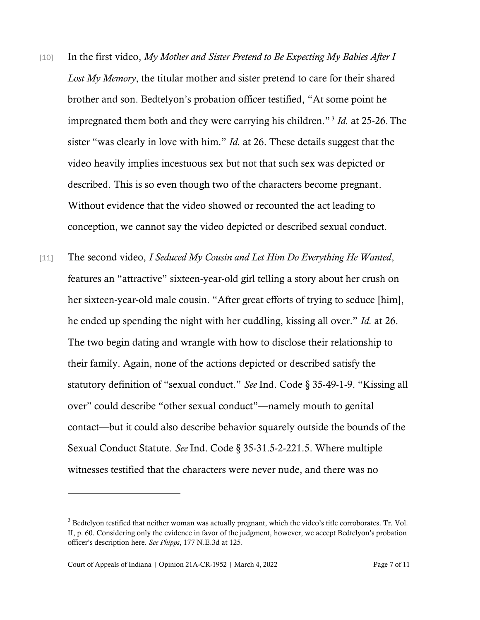- [10] In the first video, *My Mother and Sister Pretend to Be Expecting My Babies After I Lost My Memory*, the titular mother and sister pretend to care for their shared brother and son. Bedtelyon's probation officer testified, "At some point he impregnated them both and they were carrying his children." <sup>3</sup> *Id.* at 25-26.The sister "was clearly in love with him." *Id.* at 26. These details suggest that the video heavily implies incestuous sex but not that such sex was depicted or described. This is so even though two of the characters become pregnant. Without evidence that the video showed or recounted the act leading to conception, we cannot say the video depicted or described sexual conduct.
- [11] The second video, *I Seduced My Cousin and Let Him Do Everything He Wanted*, features an "attractive" sixteen-year-old girl telling a story about her crush on her sixteen-year-old male cousin. "After great efforts of trying to seduce [him], he ended up spending the night with her cuddling, kissing all over." *Id.* at 26. The two begin dating and wrangle with how to disclose their relationship to their family. Again, none of the actions depicted or described satisfy the statutory definition of "sexual conduct." *See* Ind. Code § 35-49-1-9. "Kissing all over" could describe "other sexual conduct"—namely mouth to genital contact—but it could also describe behavior squarely outside the bounds of the Sexual Conduct Statute. *See* Ind. Code § 35-31.5-2-221.5. Where multiple witnesses testified that the characters were never nude, and there was no

<sup>&</sup>lt;sup>3</sup> Bedtelyon testified that neither woman was actually pregnant, which the video's title corroborates. Tr. Vol. II, p. 60. Considering only the evidence in favor of the judgment, however, we accept Bedtelyon's probation officer's description here. *See Phipps*, 177 N.E.3d at 125.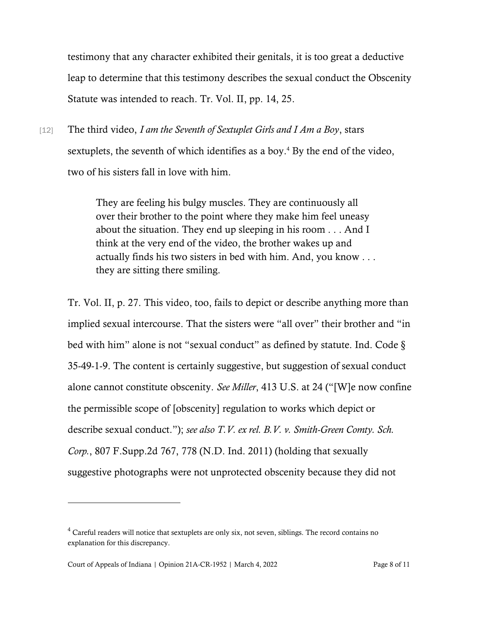testimony that any character exhibited their genitals, it is too great a deductive leap to determine that this testimony describes the sexual conduct the Obscenity Statute was intended to reach. Tr. Vol. II, pp. 14, 25.

[12] The third video, *I am the Seventh of Sextuplet Girls and I Am a Boy*, stars sextuplets, the seventh of which identifies as a boy.<sup>4</sup> By the end of the video, two of his sisters fall in love with him.

> They are feeling his bulgy muscles. They are continuously all over their brother to the point where they make him feel uneasy about the situation. They end up sleeping in his room . . . And I think at the very end of the video, the brother wakes up and actually finds his two sisters in bed with him. And, you know . . . they are sitting there smiling.

Tr. Vol. II, p. 27. This video, too, fails to depict or describe anything more than implied sexual intercourse. That the sisters were "all over" their brother and "in bed with him" alone is not "sexual conduct" as defined by statute. Ind. Code § 35-49-1-9. The content is certainly suggestive, but suggestion of sexual conduct alone cannot constitute obscenity. *See Miller*, 413 U.S. at 24 ("[W]e now confine the permissible scope of [obscenity] regulation to works which depict or describe sexual conduct."); *see also T.V. ex rel. B.V. v. Smith-Green Comty. Sch. Corp.*, 807 F.Supp.2d 767, 778 (N.D. Ind. 2011) (holding that sexually suggestive photographs were not unprotected obscenity because they did not

<sup>4</sup> Careful readers will notice that sextuplets are only six, not seven, siblings. The record contains no explanation for this discrepancy.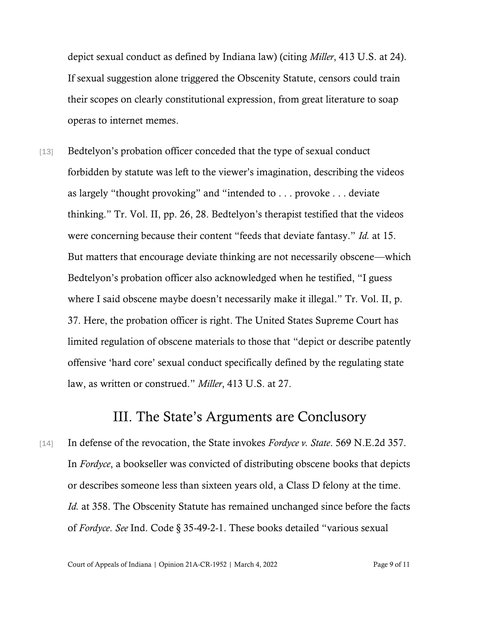depict sexual conduct as defined by Indiana law) (citing *Miller*, 413 U.S. at 24). If sexual suggestion alone triggered the Obscenity Statute, censors could train their scopes on clearly constitutional expression, from great literature to soap operas to internet memes.

[13] Bedtelyon's probation officer conceded that the type of sexual conduct forbidden by statute was left to the viewer's imagination, describing the videos as largely "thought provoking" and "intended to . . . provoke . . . deviate thinking." Tr. Vol. II, pp. 26, 28. Bedtelyon's therapist testified that the videos were concerning because their content "feeds that deviate fantasy." *Id.* at 15. But matters that encourage deviate thinking are not necessarily obscene—which Bedtelyon's probation officer also acknowledged when he testified, "I guess where I said obscene maybe doesn't necessarily make it illegal." Tr. Vol. II, p. 37. Here, the probation officer is right. The United States Supreme Court has limited regulation of obscene materials to those that "depict or describe patently offensive 'hard core' sexual conduct specifically defined by the regulating state law, as written or construed." *Miller*, 413 U.S. at 27.

## III. The State's Arguments are Conclusory

[14] In defense of the revocation, the State invokes *Fordyce v. State*. 569 N.E.2d 357. In *Fordyce*, a bookseller was convicted of distributing obscene books that depicts or describes someone less than sixteen years old, a Class D felony at the time. *Id.* at 358. The Obscenity Statute has remained unchanged since before the facts of *Fordyce*. *See* Ind. Code § 35-49-2-1. These books detailed "various sexual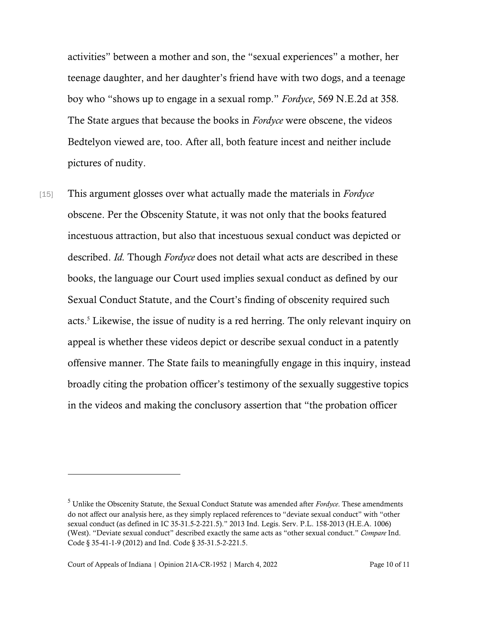activities" between a mother and son, the "sexual experiences" a mother, her teenage daughter, and her daughter's friend have with two dogs, and a teenage boy who "shows up to engage in a sexual romp." *Fordyce*, 569 N.E.2d at 358*.* The State argues that because the books in *Fordyce* were obscene, the videos Bedtelyon viewed are, too. After all, both feature incest and neither include pictures of nudity.

[15] This argument glosses over what actually made the materials in *Fordyce* obscene. Per the Obscenity Statute, it was not only that the books featured incestuous attraction, but also that incestuous sexual conduct was depicted or described. *Id.* Though *Fordyce* does not detail what acts are described in these books, the language our Court used implies sexual conduct as defined by our Sexual Conduct Statute, and the Court's finding of obscenity required such acts. <sup>5</sup> Likewise, the issue of nudity is a red herring. The only relevant inquiry on appeal is whether these videos depict or describe sexual conduct in a patently offensive manner. The State fails to meaningfully engage in this inquiry, instead broadly citing the probation officer's testimony of the sexually suggestive topics in the videos and making the conclusory assertion that "the probation officer

<sup>5</sup> Unlike the Obscenity Statute, the Sexual Conduct Statute was amended after *Fordyce*. These amendments do not affect our analysis here, as they simply replaced references to "deviate sexual conduct" with "other sexual conduct (as defined in IC 35-31.5-2-221.5)." 2013 Ind. Legis. Serv. P.L. 158-2013 (H.E.A. 1006) (West). "Deviate sexual conduct" described exactly the same acts as "other sexual conduct." *Compare* Ind. Code § 35-41-1-9 (2012) and Ind. Code § 35-31.5-2-221.5.